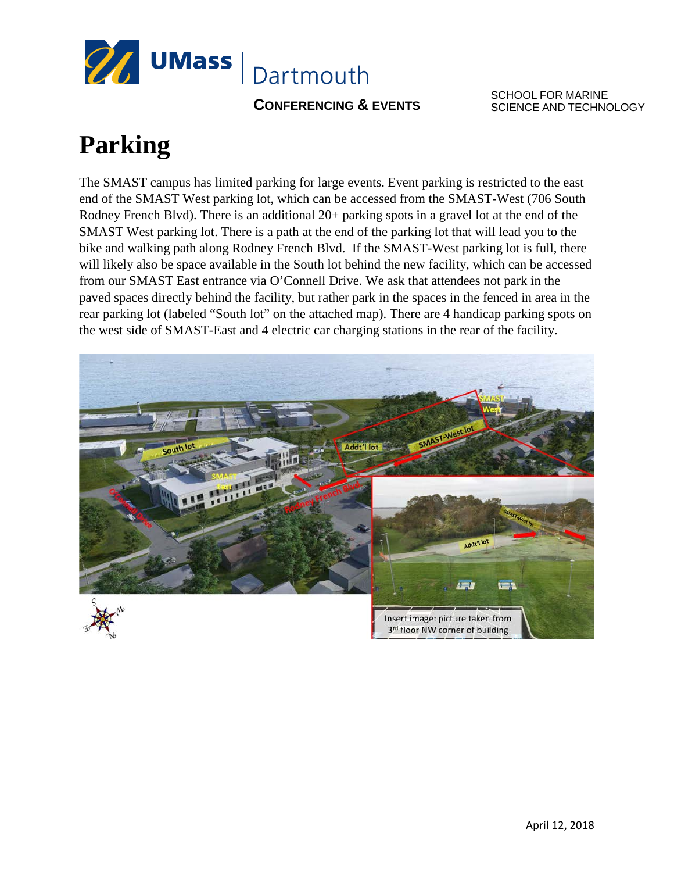

**CONFERENCING & EVENTS** 

SCHOOL FOR MARINE SCIENCE AND TECHNOLOGY

## **Parking**

The SMAST campus has limited parking for large events. Event parking is restricted to the east end of the SMAST West parking lot, which can be accessed from the SMAST-West (706 South Rodney French Blvd). There is an additional 20+ parking spots in a gravel lot at the end of the SMAST West parking lot. There is a path at the end of the parking lot that will lead you to the bike and walking path along Rodney French Blvd. If the SMAST-West parking lot is full, there will likely also be space available in the South lot behind the new facility, which can be accessed from our SMAST East entrance via O'Connell Drive. We ask that attendees not park in the paved spaces directly behind the facility, but rather park in the spaces in the fenced in area in the rear parking lot (labeled "South lot" on the attached map). There are 4 handicap parking spots on the west side of SMAST-East and 4 electric car charging stations in the rear of the facility.